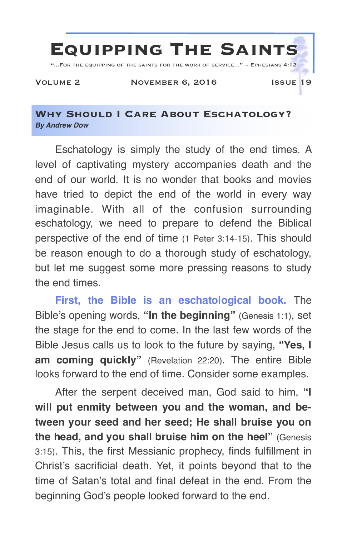

## **Why Should I Care About Eschatology?** *By Andrew Dow*

Eschatology is simply the study of the end times. A level of captivating mystery accompanies death and the end of our world. It is no wonder that books and movies have tried to depict the end of the world in every way imaginable. With all of the confusion surrounding eschatology, we need to prepare to defend the Biblical perspective of the end of time (1 Peter 3:14-15). This should be reason enough to do a thorough study of eschatology, but let me suggest some more pressing reasons to study the end times.

**First, the Bible is an eschatological book.** The Bible's opening words, **"In the beginning"** (Genesis 1:1), set the stage for the end to come. In the last few words of the Bible Jesus calls us to look to the future by saying, **"Yes, I am coming quickly"** (Revelation 22:20). The entire Bible looks forward to the end of time. Consider some examples.

After the serpent deceived man, God said to him, **"I will put enmity between you and the woman, and between your seed and her seed; He shall bruise you on the head, and you shall bruise him on the heel"** (Genesis 3:15). This, the first Messianic prophecy, finds fulfillment in Christ's sacrificial death. Yet, it points beyond that to the time of Satan's total and final defeat in the end. From the beginning God's people looked forward to the end.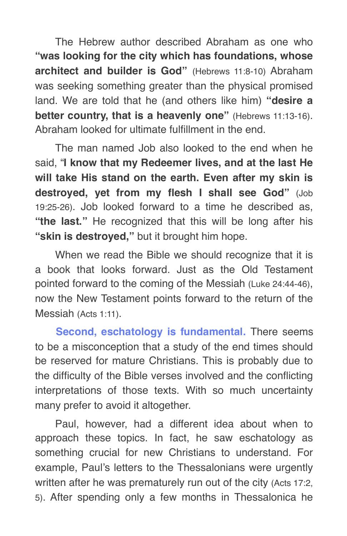The Hebrew author described Abraham as one who **"was looking for the city which has foundations, whose architect and builder is God"** (Hebrews 11:8-10) Abraham was seeking something greater than the physical promised land. We are told that he (and others like him) **"desire a better country, that is a heavenly one"** (Hebrews 11:13-16). Abraham looked for ultimate fulfillment in the end.

The man named Job also looked to the end when he said, "**I know that my Redeemer lives, and at the last He will take His stand on the earth. Even after my skin is destroyed, yet from my flesh I shall see God"** (Job 19:25-26). Job looked forward to a time he described as, **"the last."** He recognized that this will be long after his **"skin is destroyed,"** but it brought him hope.

When we read the Bible we should recognize that it is a book that looks forward. Just as the Old Testament pointed forward to the coming of the Messiah (Luke 24:44-46), now the New Testament points forward to the return of the Messiah (Acts 1:11).

**Second, eschatology is fundamental.** There seems to be a misconception that a study of the end times should be reserved for mature Christians. This is probably due to the difficulty of the Bible verses involved and the conflicting interpretations of those texts. With so much uncertainty many prefer to avoid it altogether.

Paul, however, had a different idea about when to approach these topics. In fact, he saw eschatology as something crucial for new Christians to understand. For example, Paul's letters to the Thessalonians were urgently written after he was prematurely run out of the city (Acts 17:2, 5). After spending only a few months in Thessalonica he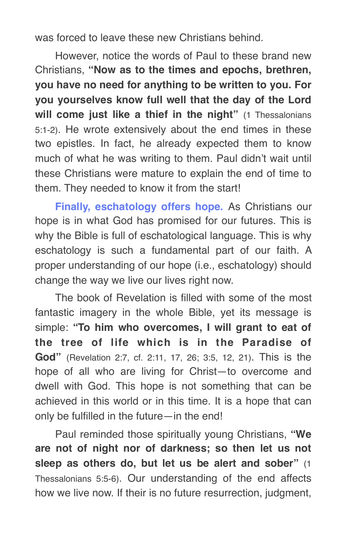was forced to leave these new Christians behind.

However, notice the words of Paul to these brand new Christians, **"Now as to the times and epochs, brethren, you have no need for anything to be written to you. For you yourselves know full well that the day of the Lord will come just like a thief in the night"** (1 Thessalonians 5:1-2). He wrote extensively about the end times in these two epistles. In fact, he already expected them to know much of what he was writing to them. Paul didn't wait until these Christians were mature to explain the end of time to them. They needed to know it from the start!

**Finally, eschatology offers hope.** As Christians our hope is in what God has promised for our futures. This is why the Bible is full of eschatological language. This is why eschatology is such a fundamental part of our faith. A proper understanding of our hope (i.e., eschatology) should change the way we live our lives right now.

The book of Revelation is filled with some of the most fantastic imagery in the whole Bible, yet its message is simple: **"To him who overcomes, I will grant to eat of the tree of life which is in the Paradise of God"** (Revelation 2:7, cf. 2:11, 17, 26; 3:5, 12, 21). This is the hope of all who are living for Christ—to overcome and dwell with God. This hope is not something that can be achieved in this world or in this time. It is a hope that can only be fulfilled in the future—in the end!

Paul reminded those spiritually young Christians, **"We are not of night nor of darkness; so then let us not sleep as others do, but let us be alert and sober"** (1 Thessalonians 5:5-6). Our understanding of the end affects how we live now. If their is no future resurrection, judgment,